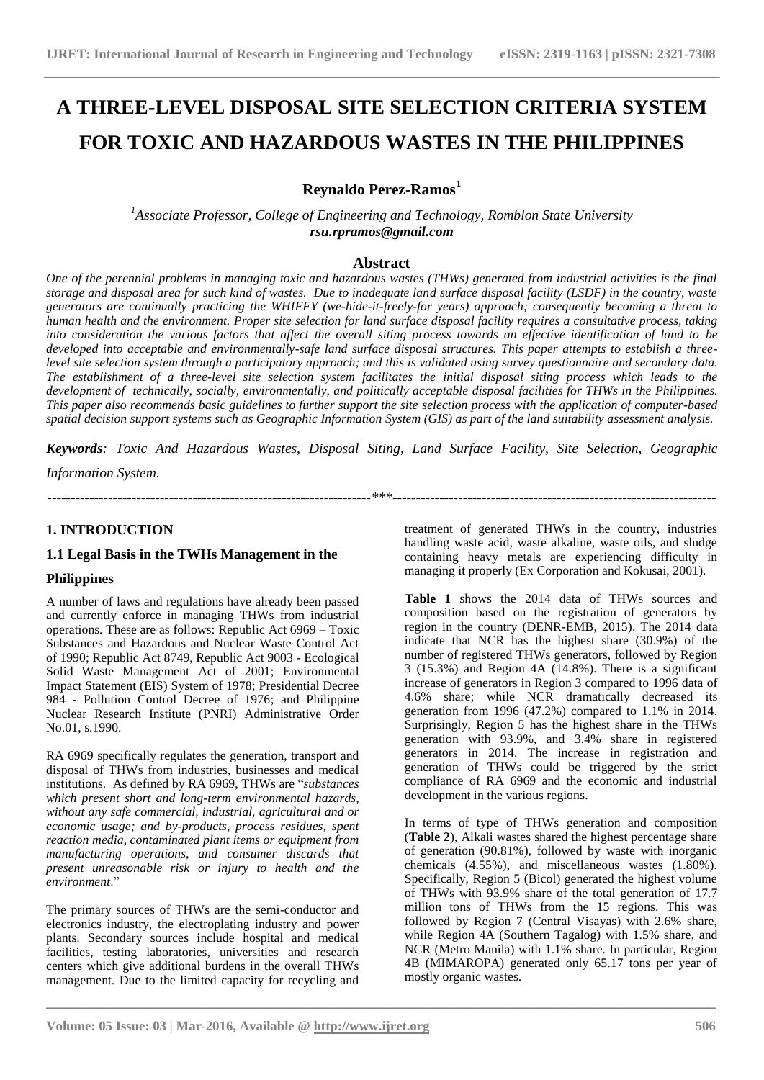# **A THREE-LEVEL DISPOSAL SITE SELECTION CRITERIA SYSTEM FOR TOXIC AND HAZARDOUS WASTES IN THE PHILIPPINES**

# **Reynaldo Perez-Ramos<sup>1</sup>**

*<sup>1</sup>Associate Professor, College of Engineering and Technology, Romblon State University rsu.rpramos@gmail.com*

## **Abstract**

*One of the perennial problems in managing toxic and hazardous wastes (THWs) generated from industrial activities is the final storage and disposal area for such kind of wastes. Due to inadequate land surface disposal facility (LSDF) in the country, waste generators are continually practicing the WHIFFY (we-hide-it-freely-for years) approach; consequently becoming a threat to human health and the environment. Proper site selection for land surface disposal facility requires a consultative process, taking into consideration the various factors that affect the overall siting process towards an effective identification of land to be developed into acceptable and environmentally-safe land surface disposal structures. This paper attempts to establish a threelevel site selection system through a participatory approach; and this is validated using survey questionnaire and secondary data. The establishment of a three-level site selection system facilitates the initial disposal siting process which leads to the development of technically, socially, environmentally, and politically acceptable disposal facilities for THWs in the Philippines. This paper also recommends basic guidelines to further support the site selection process with the application of computer-based spatial decision support systems such as Geographic Information System (GIS) as part of the land suitability assessment analysis.*

*Keywords: Toxic And Hazardous Wastes, Disposal Siting, Land Surface Facility, Site Selection, Geographic* 

*---------------------------------------------------------------------\*\*\*---------------------------------------------------------------------*

**\_\_\_\_\_\_\_\_\_\_\_\_\_\_\_\_\_\_\_\_\_\_\_\_\_\_\_\_\_\_\_\_\_\_\_\_\_\_\_\_\_\_\_\_\_\_\_\_\_\_\_\_\_\_\_\_\_\_\_\_\_\_\_\_\_\_\_\_\_\_\_\_\_\_\_\_\_\_\_\_\_\_\_\_\_\_\_**

*Information System.*

# **1. INTRODUCTION**

# **1.1 Legal Basis in the TWHs Management in the**

#### **Philippines**

A number of laws and regulations have already been passed and currently enforce in managing THWs from industrial operations. These are as follows: Republic Act 6969 – Toxic Substances and Hazardous and Nuclear Waste Control Act of 1990; Republic Act 8749, Republic Act 9003 - Ecological Solid Waste Management Act of 2001; Environmental Impact Statement (EIS) System of 1978; Presidential Decree 984 - Pollution Control Decree of 1976; and Philippine Nuclear Research Institute (PNRI) Administrative Order No.01, s.1990.

RA 6969 specifically regulates the generation, transport and disposal of THWs from industries, businesses and medical institutions. As defined by RA 6969, THWs are "*substances which present short and long-term environmental hazards, without any safe commercial, industrial, agricultural and or economic usage; and by-products, process residues, spent reaction media, contaminated plant items or equipment from manufacturing operations, and consumer discards that present unreasonable risk or injury to health and the environment*."

The primary sources of THWs are the semi-conductor and electronics industry, the electroplating industry and power plants. Secondary sources include hospital and medical facilities, testing laboratories, universities and research centers which give additional burdens in the overall THWs management. Due to the limited capacity for recycling and treatment of generated THWs in the country, industries handling waste acid, waste alkaline, waste oils, and sludge containing heavy metals are experiencing difficulty in managing it properly (Ex Corporation and Kokusai, 2001).

**Table 1** shows the 2014 data of THWs sources and composition based on the registration of generators by region in the country (DENR-EMB, 2015). The 2014 data indicate that NCR has the highest share (30.9%) of the number of registered THWs generators, followed by Region 3 (15.3%) and Region 4A (14.8%). There is a significant increase of generators in Region 3 compared to 1996 data of 4.6% share; while NCR dramatically decreased its generation from 1996 (47.2%) compared to 1.1% in 2014. Surprisingly, Region 5 has the highest share in the THWs generation with 93.9%, and 3.4% share in registered generators in 2014. The increase in registration and generation of THWs could be triggered by the strict compliance of RA 6969 and the economic and industrial development in the various regions.

In terms of type of THWs generation and composition (**Table 2**), Alkali wastes shared the highest percentage share of generation (90.81%), followed by waste with inorganic chemicals (4.55%), and miscellaneous wastes (1.80%). Specifically, Region 5 (Bicol) generated the highest volume of THWs with 93.9% share of the total generation of 17.7 million tons of THWs from the 15 regions. This was followed by Region 7 (Central Visayas) with 2.6% share, while Region 4A (Southern Tagalog) with 1.5% share, and NCR (Metro Manila) with 1.1% share. In particular, Region 4B (MIMAROPA) generated only 65.17 tons per year of mostly organic wastes.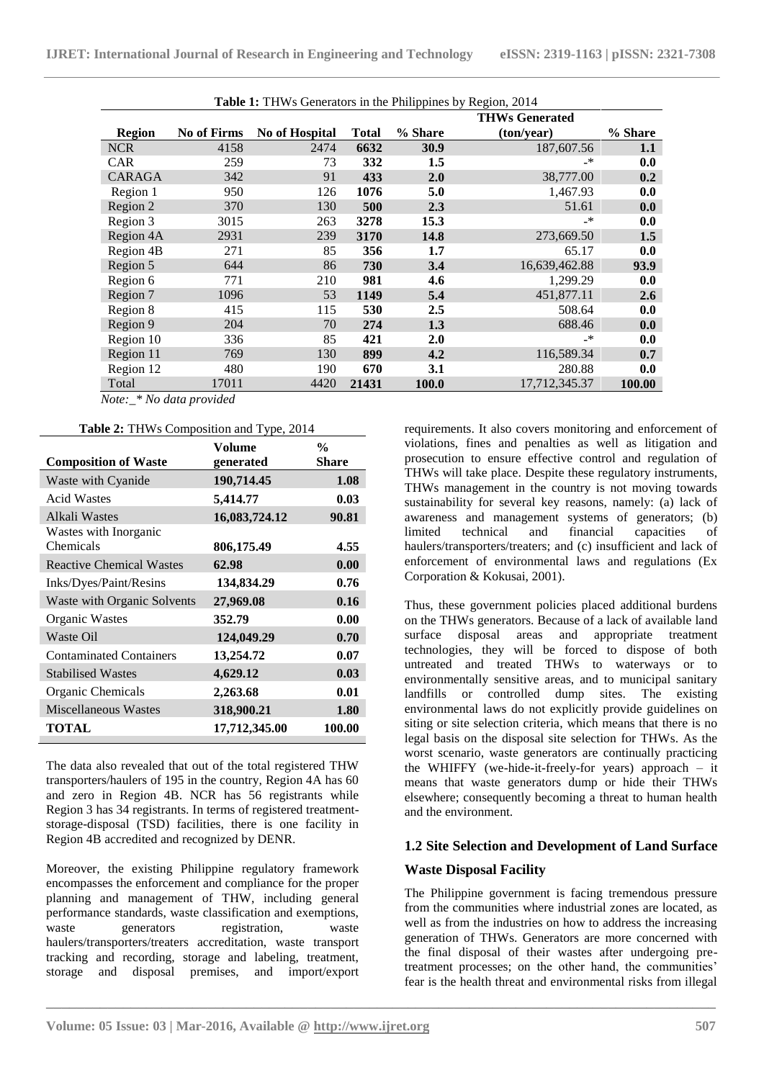| <b>Table 1:</b> THWs Generators in the Philippines by Region, 2014 |                       |                |              |         |               |         |  |  |  |
|--------------------------------------------------------------------|-----------------------|----------------|--------------|---------|---------------|---------|--|--|--|
|                                                                    | <b>THWs Generated</b> |                |              |         |               |         |  |  |  |
| <b>Region</b>                                                      | <b>No of Firms</b>    | No of Hospital | <b>Total</b> | % Share | (ton/year)    | % Share |  |  |  |
| <b>NCR</b>                                                         | 4158                  | 2474           | 6632         | 30.9    | 187,607.56    | 1.1     |  |  |  |
| <b>CAR</b>                                                         | 259                   | 73             | 332          | 1.5     | _*            | 0.0     |  |  |  |
| <b>CARAGA</b>                                                      | 342                   | 91             | 433          | 2.0     | 38,777.00     | 0.2     |  |  |  |
| Region 1                                                           | 950                   | 126            | 1076         | 5.0     | 1,467.93      | 0.0     |  |  |  |
| Region 2                                                           | 370                   | 130            | 500          | 2.3     | 51.61         | 0.0     |  |  |  |
| Region 3                                                           | 3015                  | 263            | 3278         | 15.3    | _*            | 0.0     |  |  |  |
| Region 4A                                                          | 2931                  | 239            | 3170         | 14.8    | 273,669.50    | 1.5     |  |  |  |
| Region 4B                                                          | 271                   | 85             | 356          | 1.7     | 65.17         | 0.0     |  |  |  |
| Region 5                                                           | 644                   | 86             | 730          | 3.4     | 16,639,462.88 | 93.9    |  |  |  |
| Region 6                                                           | 771                   | 210            | 981          | 4.6     | 1,299.29      | 0.0     |  |  |  |
| Region 7                                                           | 1096                  | 53             | 1149         | 5.4     | 451,877.11    | 2.6     |  |  |  |
| Region 8                                                           | 415                   | 115            | 530          | 2.5     | 508.64        | 0.0     |  |  |  |
| Region 9                                                           | 204                   | 70             | 274          | 1.3     | 688.46        | 0.0     |  |  |  |
| Region 10                                                          | 336                   | 85             | 421          | 2.0     | _*            | 0.0     |  |  |  |
| Region 11                                                          | 769                   | 130            | 899          | 4.2     | 116,589.34    | 0.7     |  |  |  |
| Region 12                                                          | 480                   | 190            | 670          | 3.1     | 280.88        | 0.0     |  |  |  |
| Total                                                              | 17011                 | 4420           | 21431        | 100.0   | 17,712,345.37 | 100.00  |  |  |  |

*Note:\_\* No data provided*

**Table 2:** THWs Composition and Type, 2014

|                                 | <b>Volume</b> | $\frac{0}{0}$ |
|---------------------------------|---------------|---------------|
| <b>Composition of Waste</b>     | generated     | Share         |
| Waste with Cyanide              | 190,714.45    | 1.08          |
| <b>Acid Wastes</b>              | 5,414.77      | 0.03          |
| Alkali Wastes                   | 16,083,724.12 | 90.81         |
| Wastes with Inorganic           |               |               |
| Chemicals                       | 806,175.49    | 4.55          |
| <b>Reactive Chemical Wastes</b> | 62.98         | 0.00          |
| Inks/Dyes/Paint/Resins          | 134,834.29    | 0.76          |
| Waste with Organic Solvents     | 27,969.08     | 0.16          |
| Organic Wastes                  | 352.79        | 0.00          |
| Waste Oil                       | 124,049.29    | 0.70          |
| <b>Contaminated Containers</b>  | 13,254.72     | 0.07          |
| <b>Stabilised Wastes</b>        | 4,629.12      | 0.03          |
| Organic Chemicals               | 2,263.68      | 0.01          |
| Miscellaneous Wastes            | 318,900.21    | 1.80          |
| <b>TOTAL</b>                    | 17,712,345.00 | 100.00        |
|                                 |               |               |

The data also revealed that out of the total registered THW transporters/haulers of 195 in the country, Region 4A has 60 and zero in Region 4B. NCR has 56 registrants while Region 3 has 34 registrants. In terms of registered treatmentstorage-disposal (TSD) facilities, there is one facility in Region 4B accredited and recognized by DENR.

Moreover, the existing Philippine regulatory framework encompasses the enforcement and compliance for the proper planning and management of THW, including general performance standards, waste classification and exemptions, waste generators registration, waste haulers/transporters/treaters accreditation, waste transport tracking and recording, storage and labeling, treatment, storage and disposal premises, and import/export

requirements. It also covers monitoring and enforcement of violations, fines and penalties as well as litigation and prosecution to ensure effective control and regulation of THWs will take place. Despite these regulatory instruments, THWs management in the country is not moving towards sustainability for several key reasons, namely: (a) lack of awareness and management systems of generators; (b) limited technical and financial capacities of haulers/transporters/treaters; and (c) insufficient and lack of enforcement of environmental laws and regulations (Ex Corporation & Kokusai, 2001).

Thus, these government policies placed additional burdens on the THWs generators. Because of a lack of available land surface disposal areas and appropriate treatment technologies, they will be forced to dispose of both untreated and treated THWs to waterways or to environmentally sensitive areas, and to municipal sanitary landfills or controlled dump sites. The existing environmental laws do not explicitly provide guidelines on siting or site selection criteria, which means that there is no legal basis on the disposal site selection for THWs. As the worst scenario, waste generators are continually practicing the WHIFFY (we-hide-it-freely-for years) approach – it means that waste generators dump or hide their THWs elsewhere; consequently becoming a threat to human health and the environment.

# **1.2 Site Selection and Development of Land Surface**

# **Waste Disposal Facility**

**\_\_\_\_\_\_\_\_\_\_\_\_\_\_\_\_\_\_\_\_\_\_\_\_\_\_\_\_\_\_\_\_\_\_\_\_\_\_\_\_\_\_\_\_\_\_\_\_\_\_\_\_\_\_\_\_\_\_\_\_\_\_\_\_\_\_\_\_\_\_\_\_\_\_\_\_\_\_\_\_\_\_\_\_\_\_\_**

The Philippine government is facing tremendous pressure from the communities where industrial zones are located, as well as from the industries on how to address the increasing generation of THWs. Generators are more concerned with the final disposal of their wastes after undergoing pretreatment processes; on the other hand, the communities' fear is the health threat and environmental risks from illegal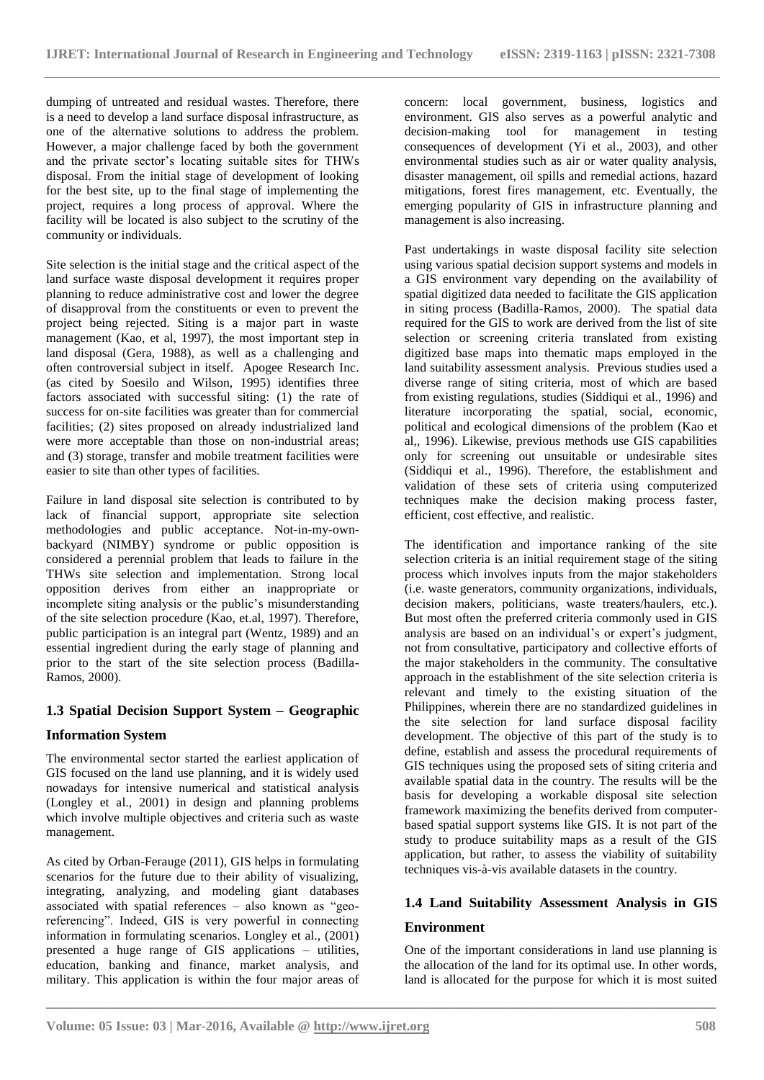dumping of untreated and residual wastes. Therefore, there is a need to develop a land surface disposal infrastructure, as one of the alternative solutions to address the problem. However, a major challenge faced by both the government and the private sector's locating suitable sites for THWs disposal. From the initial stage of development of looking for the best site, up to the final stage of implementing the project, requires a long process of approval. Where the facility will be located is also subject to the scrutiny of the community or individuals.

Site selection is the initial stage and the critical aspect of the land surface waste disposal development it requires proper planning to reduce administrative cost and lower the degree of disapproval from the constituents or even to prevent the project being rejected. Siting is a major part in waste management (Kao, et al, 1997), the most important step in land disposal (Gera, 1988), as well as a challenging and often controversial subject in itself. Apogee Research Inc. (as cited by Soesilo and Wilson, 1995) identifies three factors associated with successful siting: (1) the rate of success for on-site facilities was greater than for commercial facilities; (2) sites proposed on already industrialized land were more acceptable than those on non-industrial areas; and (3) storage, transfer and mobile treatment facilities were easier to site than other types of facilities.

Failure in land disposal site selection is contributed to by lack of financial support, appropriate site selection methodologies and public acceptance. Not-in-my-ownbackyard (NIMBY) syndrome or public opposition is considered a perennial problem that leads to failure in the THWs site selection and implementation. Strong local opposition derives from either an inappropriate or incomplete siting analysis or the public's misunderstanding of the site selection procedure (Kao, et.al, 1997). Therefore, public participation is an integral part (Wentz, 1989) and an essential ingredient during the early stage of planning and prior to the start of the site selection process (Badilla-Ramos, 2000).

# **1.3 Spatial Decision Support System – Geographic**

# **Information System**

The environmental sector started the earliest application of GIS focused on the land use planning, and it is widely used nowadays for intensive numerical and statistical analysis (Longley et al., 2001) in design and planning problems which involve multiple objectives and criteria such as waste management.

As cited by Orban-Ferauge (2011), GIS helps in formulating scenarios for the future due to their ability of visualizing, integrating, analyzing, and modeling giant databases associated with spatial references – also known as "georeferencing". Indeed, GIS is very powerful in connecting information in formulating scenarios. Longley et al., (2001) presented a huge range of GIS applications – utilities, education, banking and finance, market analysis, and military. This application is within the four major areas of concern: local government, business, logistics and environment. GIS also serves as a powerful analytic and decision-making tool for management in testing consequences of development (Yi et al., 2003), and other environmental studies such as air or water quality analysis, disaster management, oil spills and remedial actions, hazard mitigations, forest fires management, etc. Eventually, the emerging popularity of GIS in infrastructure planning and management is also increasing.

Past undertakings in waste disposal facility site selection using various spatial decision support systems and models in a GIS environment vary depending on the availability of spatial digitized data needed to facilitate the GIS application in siting process (Badilla-Ramos, 2000). The spatial data required for the GIS to work are derived from the list of site selection or screening criteria translated from existing digitized base maps into thematic maps employed in the land suitability assessment analysis. Previous studies used a diverse range of siting criteria, most of which are based from existing regulations, studies (Siddiqui et al., 1996) and literature incorporating the spatial, social, economic, political and ecological dimensions of the problem (Kao et al,, 1996). Likewise, previous methods use GIS capabilities only for screening out unsuitable or undesirable sites (Siddiqui et al., 1996). Therefore, the establishment and validation of these sets of criteria using computerized techniques make the decision making process faster, efficient, cost effective, and realistic.

The identification and importance ranking of the site selection criteria is an initial requirement stage of the siting process which involves inputs from the major stakeholders (i.e. waste generators, community organizations, individuals, decision makers, politicians, waste treaters/haulers, etc.). But most often the preferred criteria commonly used in GIS analysis are based on an individual's or expert's judgment, not from consultative, participatory and collective efforts of the major stakeholders in the community. The consultative approach in the establishment of the site selection criteria is relevant and timely to the existing situation of the Philippines, wherein there are no standardized guidelines in the site selection for land surface disposal facility development. The objective of this part of the study is to define, establish and assess the procedural requirements of GIS techniques using the proposed sets of siting criteria and available spatial data in the country. The results will be the basis for developing a workable disposal site selection framework maximizing the benefits derived from computerbased spatial support systems like GIS. It is not part of the study to produce suitability maps as a result of the GIS application, but rather, to assess the viability of suitability techniques vis-à-vis available datasets in the country.

# **1.4 Land Suitability Assessment Analysis in GIS Environment**

One of the important considerations in land use planning is the allocation of the land for its optimal use. In other words, land is allocated for the purpose for which it is most suited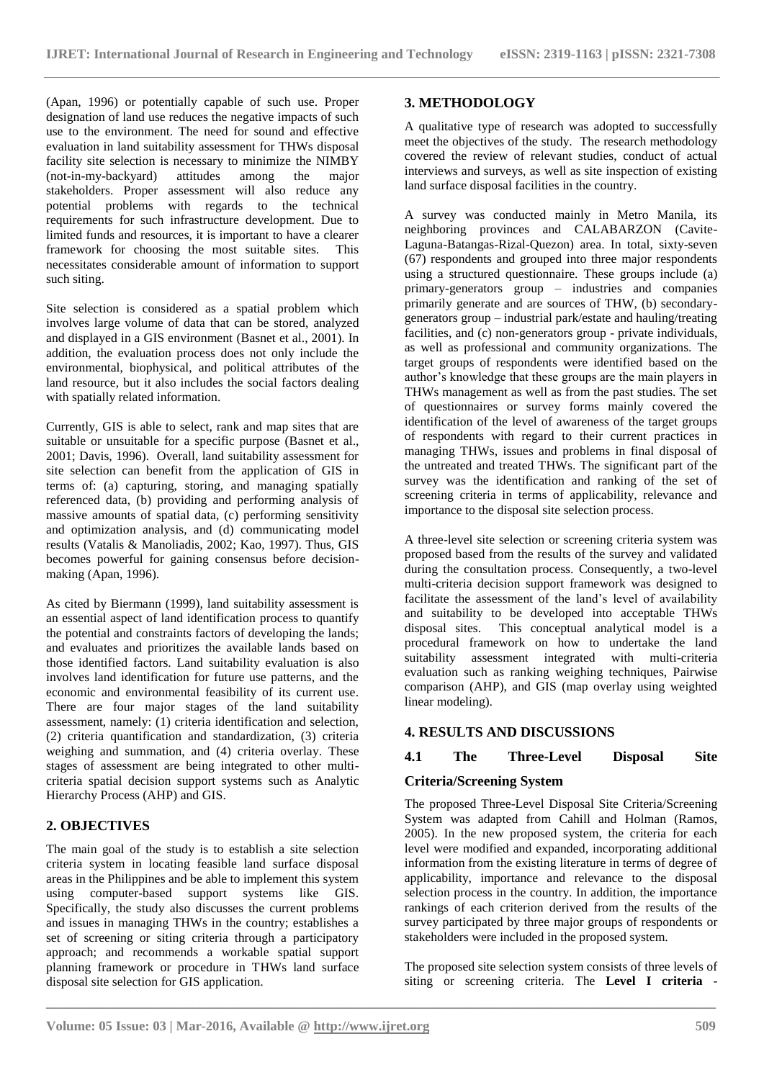(Apan, 1996) or potentially capable of such use. Proper designation of land use reduces the negative impacts of such use to the environment. The need for sound and effective evaluation in land suitability assessment for THWs disposal facility site selection is necessary to minimize the NIMBY<br>(not-in-my-backyard) attitudes among the major (not-in-my-backyard) attitudes among the major stakeholders. Proper assessment will also reduce any potential problems with regards to the technical requirements for such infrastructure development. Due to limited funds and resources, it is important to have a clearer framework for choosing the most suitable sites. This necessitates considerable amount of information to support such siting.

Site selection is considered as a spatial problem which involves large volume of data that can be stored, analyzed and displayed in a GIS environment (Basnet et al., 2001). In addition, the evaluation process does not only include the environmental, biophysical, and political attributes of the land resource, but it also includes the social factors dealing with spatially related information.

Currently, GIS is able to select, rank and map sites that are suitable or unsuitable for a specific purpose (Basnet et al., 2001; Davis, 1996). Overall, land suitability assessment for site selection can benefit from the application of GIS in terms of: (a) capturing, storing, and managing spatially referenced data, (b) providing and performing analysis of massive amounts of spatial data, (c) performing sensitivity and optimization analysis, and (d) communicating model results (Vatalis & Manoliadis, 2002; Kao, 1997). Thus, GIS becomes powerful for gaining consensus before decisionmaking (Apan, 1996).

As cited by Biermann (1999), land suitability assessment is an essential aspect of land identification process to quantify the potential and constraints factors of developing the lands; and evaluates and prioritizes the available lands based on those identified factors. Land suitability evaluation is also involves land identification for future use patterns, and the economic and environmental feasibility of its current use. There are four major stages of the land suitability assessment, namely: (1) criteria identification and selection, (2) criteria quantification and standardization, (3) criteria weighing and summation, and (4) criteria overlay. These stages of assessment are being integrated to other multicriteria spatial decision support systems such as Analytic Hierarchy Process (AHP) and GIS.

# **2. OBJECTIVES**

The main goal of the study is to establish a site selection criteria system in locating feasible land surface disposal areas in the Philippines and be able to implement this system using computer-based support systems like GIS. Specifically, the study also discusses the current problems and issues in managing THWs in the country; establishes a set of screening or siting criteria through a participatory approach; and recommends a workable spatial support planning framework or procedure in THWs land surface disposal site selection for GIS application.

#### **3. METHODOLOGY**

A qualitative type of research was adopted to successfully meet the objectives of the study. The research methodology covered the review of relevant studies, conduct of actual interviews and surveys, as well as site inspection of existing land surface disposal facilities in the country.

A survey was conducted mainly in Metro Manila, its neighboring provinces and CALABARZON (Cavite-Laguna-Batangas-Rizal-Quezon) area. In total, sixty-seven (67) respondents and grouped into three major respondents using a structured questionnaire. These groups include (a) primary-generators group – industries and companies primarily generate and are sources of THW, (b) secondarygenerators group – industrial park/estate and hauling/treating facilities, and (c) non-generators group - private individuals, as well as professional and community organizations. The target groups of respondents were identified based on the author's knowledge that these groups are the main players in THWs management as well as from the past studies. The set of questionnaires or survey forms mainly covered the identification of the level of awareness of the target groups of respondents with regard to their current practices in managing THWs, issues and problems in final disposal of the untreated and treated THWs. The significant part of the survey was the identification and ranking of the set of screening criteria in terms of applicability, relevance and importance to the disposal site selection process.

A three-level site selection or screening criteria system was proposed based from the results of the survey and validated during the consultation process. Consequently, a two-level multi-criteria decision support framework was designed to facilitate the assessment of the land's level of availability and suitability to be developed into acceptable THWs disposal sites. This conceptual analytical model is a This conceptual analytical model is a procedural framework on how to undertake the land suitability assessment integrated with multi-criteria evaluation such as ranking weighing techniques, Pairwise comparison (AHP), and GIS (map overlay using weighted linear modeling).

#### **4. RESULTS AND DISCUSSIONS**

# **4.1 The Three-Level Disposal Site**

#### **Criteria/Screening System**

The proposed Three-Level Disposal Site Criteria/Screening System was adapted from Cahill and Holman (Ramos, 2005). In the new proposed system, the criteria for each level were modified and expanded, incorporating additional information from the existing literature in terms of degree of applicability, importance and relevance to the disposal selection process in the country. In addition, the importance rankings of each criterion derived from the results of the survey participated by three major groups of respondents or stakeholders were included in the proposed system.

The proposed site selection system consists of three levels of siting or screening criteria. The **Level I criteria** -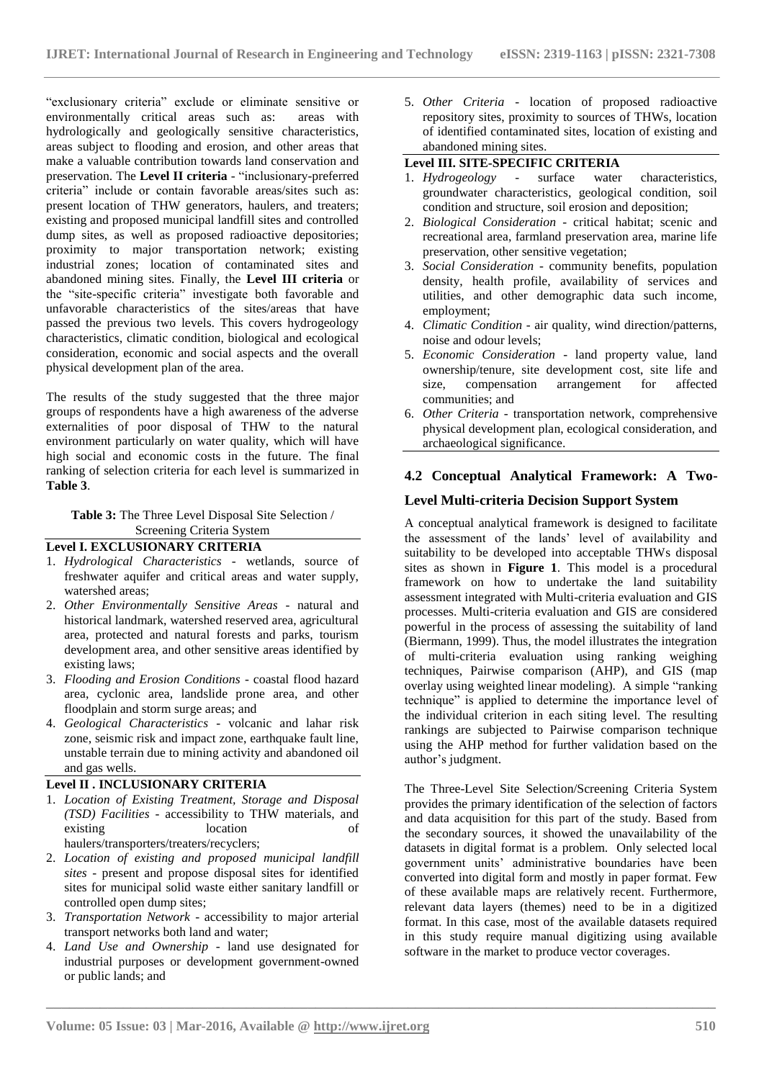"exclusionary criteria" exclude or eliminate sensitive or environmentally critical areas such as: areas with hydrologically and geologically sensitive characteristics, areas subject to flooding and erosion, and other areas that make a valuable contribution towards land conservation and preservation. The **Level II criteria** - "inclusionary-preferred criteria" include or contain favorable areas/sites such as: present location of THW generators, haulers, and treaters; existing and proposed municipal landfill sites and controlled dump sites, as well as proposed radioactive depositories; proximity to major transportation network; existing industrial zones; location of contaminated sites and abandoned mining sites. Finally, the **Level III criteria** or the "site-specific criteria" investigate both favorable and unfavorable characteristics of the sites/areas that have passed the previous two levels. This covers hydrogeology characteristics, climatic condition, biological and ecological consideration, economic and social aspects and the overall physical development plan of the area.

The results of the study suggested that the three major groups of respondents have a high awareness of the adverse externalities of poor disposal of THW to the natural environment particularly on water quality, which will have high social and economic costs in the future. The final ranking of selection criteria for each level is summarized in **Table 3**.

### **Table 3:** The Three Level Disposal Site Selection / Screening Criteria System

#### **Level I. EXCLUSIONARY CRITERIA**

- 1. *Hydrological Characteristics* wetlands, source of freshwater aquifer and critical areas and water supply, watershed areas;
- 2. *Other Environmentally Sensitive Areas* natural and historical landmark, watershed reserved area, agricultural area, protected and natural forests and parks, tourism development area, and other sensitive areas identified by existing laws;
- 3. *Flooding and Erosion Conditions* coastal flood hazard area, cyclonic area, landslide prone area, and other floodplain and storm surge areas; and
- 4. *Geological Characteristics*  volcanic and lahar risk zone, seismic risk and impact zone, earthquake fault line, unstable terrain due to mining activity and abandoned oil and gas wells.

#### **Level II . INCLUSIONARY CRITERIA**

- 1. *Location of Existing Treatment, Storage and Disposal (TSD) Facilities* - accessibility to THW materials, and existing location of haulers/transporters/treaters/recyclers;
- 2. *Location of existing and proposed municipal landfill sites* - present and propose disposal sites for identified sites for municipal solid waste either sanitary landfill or controlled open dump sites;
- 3. *Transportation Network* accessibility to major arterial transport networks both land and water;
- 4. *Land Use and Ownership* land use designated for industrial purposes or development government-owned or public lands; and

5. *Other Criteria* - location of proposed radioactive repository sites, proximity to sources of THWs, location of identified contaminated sites, location of existing and abandoned mining sites.

#### **Level III. SITE-SPECIFIC CRITERIA**

- 1. *Hydrogeology* surface water characteristics, groundwater characteristics, geological condition, soil condition and structure, soil erosion and deposition;
- 2. *Biological Consideration* critical habitat; scenic and recreational area, farmland preservation area, marine life preservation, other sensitive vegetation;
- 3. *Social Consideration* community benefits, population density, health profile, availability of services and utilities, and other demographic data such income, employment;
- 4. *Climatic Condition* air quality, wind direction/patterns, noise and odour levels;
- 5. *Economic Consideration* land property value, land ownership/tenure, site development cost, site life and size, compensation arrangement for communities; and
- 6. *Other Criteria* transportation network, comprehensive physical development plan, ecological consideration, and archaeological significance.

# **4.2 Conceptual Analytical Framework: A Two-**

# **Level Multi-criteria Decision Support System**

A conceptual analytical framework is designed to facilitate the assessment of the lands' level of availability and suitability to be developed into acceptable THWs disposal sites as shown in **Figure 1**. This model is a procedural framework on how to undertake the land suitability assessment integrated with Multi-criteria evaluation and GIS processes. Multi-criteria evaluation and GIS are considered powerful in the process of assessing the suitability of land (Biermann, 1999). Thus, the model illustrates the integration of multi-criteria evaluation using ranking weighing techniques, Pairwise comparison (AHP), and GIS (map overlay using weighted linear modeling). A simple "ranking technique" is applied to determine the importance level of the individual criterion in each siting level. The resulting rankings are subjected to Pairwise comparison technique using the AHP method for further validation based on the author's judgment.

The Three-Level Site Selection/Screening Criteria System provides the primary identification of the selection of factors and data acquisition for this part of the study. Based from the secondary sources, it showed the unavailability of the datasets in digital format is a problem. Only selected local government units' administrative boundaries have been converted into digital form and mostly in paper format. Few of these available maps are relatively recent. Furthermore, relevant data layers (themes) need to be in a digitized format. In this case, most of the available datasets required in this study require manual digitizing using available software in the market to produce vector coverages.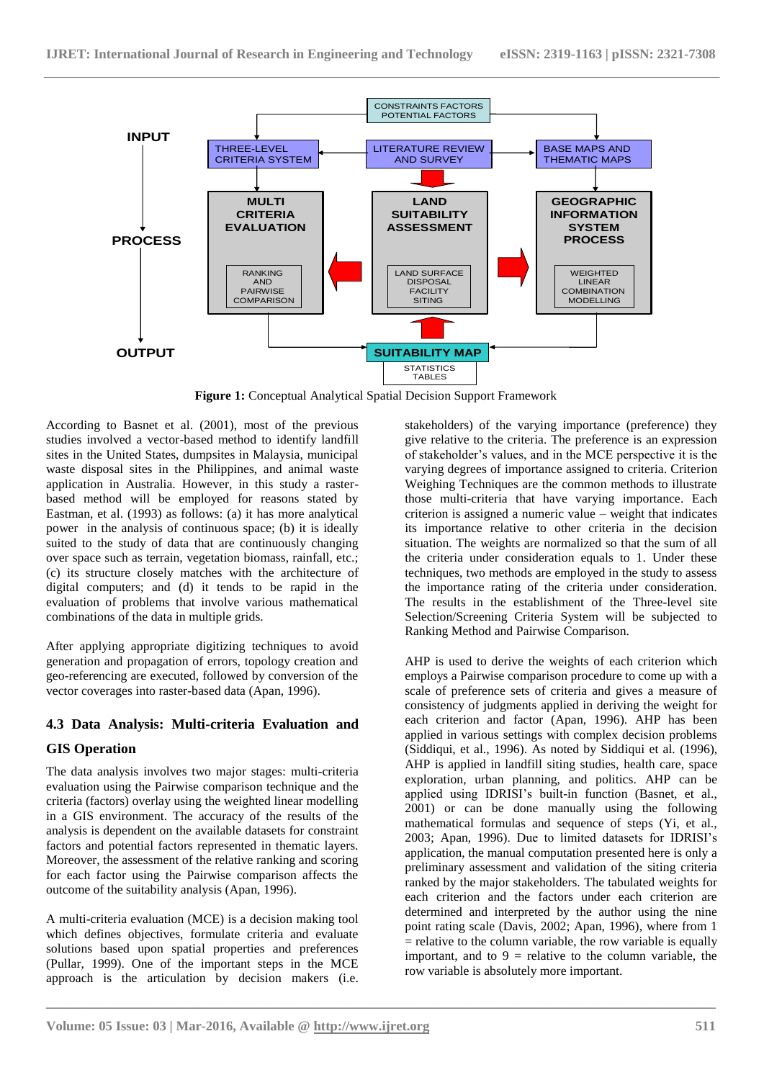

**Figure 1:** Conceptual Analytical Spatial Decision Support Framework

**\_\_\_\_\_\_\_\_\_\_\_\_\_\_\_\_\_\_\_\_\_\_\_\_\_\_\_\_\_\_\_\_\_\_\_\_\_\_\_\_\_\_\_\_\_\_\_\_\_\_\_\_\_\_\_\_\_\_\_\_\_\_\_\_\_\_\_\_\_\_\_\_\_\_\_\_\_\_\_\_\_\_\_\_\_\_\_**

According to Basnet et al. (2001), most of the previous studies involved a vector-based method to identify landfill sites in the United States, dumpsites in Malaysia, municipal waste disposal sites in the Philippines, and animal waste application in Australia. However, in this study a rasterbased method will be employed for reasons stated by Eastman, et al. (1993) as follows: (a) it has more analytical power in the analysis of continuous space; (b) it is ideally suited to the study of data that are continuously changing over space such as terrain, vegetation biomass, rainfall, etc.; (c) its structure closely matches with the architecture of digital computers; and (d) it tends to be rapid in the evaluation of problems that involve various mathematical combinations of the data in multiple grids.

After applying appropriate digitizing techniques to avoid generation and propagation of errors, topology creation and geo-referencing are executed, followed by conversion of the vector coverages into raster-based data (Apan, 1996).

# **4.3 Data Analysis: Multi-criteria Evaluation and**

# **GIS Operation**

The data analysis involves two major stages: multi-criteria evaluation using the Pairwise comparison technique and the criteria (factors) overlay using the weighted linear modelling in a GIS environment. The accuracy of the results of the analysis is dependent on the available datasets for constraint factors and potential factors represented in thematic layers. Moreover, the assessment of the relative ranking and scoring for each factor using the Pairwise comparison affects the outcome of the suitability analysis (Apan, 1996).

A multi-criteria evaluation (MCE) is a decision making tool which defines objectives, formulate criteria and evaluate solutions based upon spatial properties and preferences (Pullar, 1999). One of the important steps in the MCE approach is the articulation by decision makers (i.e.

stakeholders) of the varying importance (preference) they give relative to the criteria. The preference is an expression of stakeholder's values, and in the MCE perspective it is the varying degrees of importance assigned to criteria. Criterion Weighing Techniques are the common methods to illustrate those multi-criteria that have varying importance. Each criterion is assigned a numeric value – weight that indicates its importance relative to other criteria in the decision situation. The weights are normalized so that the sum of all the criteria under consideration equals to 1. Under these techniques, two methods are employed in the study to assess the importance rating of the criteria under consideration. The results in the establishment of the Three-level site Selection/Screening Criteria System will be subjected to Ranking Method and Pairwise Comparison.

AHP is used to derive the weights of each criterion which employs a Pairwise comparison procedure to come up with a scale of preference sets of criteria and gives a measure of consistency of judgments applied in deriving the weight for each criterion and factor (Apan, 1996). AHP has been applied in various settings with complex decision problems (Siddiqui, et al., 1996). As noted by Siddiqui et al. (1996), AHP is applied in landfill siting studies, health care, space exploration, urban planning, and politics. AHP can be applied using IDRISI's built-in function (Basnet, et al., 2001) or can be done manually using the following mathematical formulas and sequence of steps (Yi, et al., 2003; Apan, 1996). Due to limited datasets for IDRISI's application, the manual computation presented here is only a preliminary assessment and validation of the siting criteria ranked by the major stakeholders. The tabulated weights for each criterion and the factors under each criterion are determined and interpreted by the author using the nine point rating scale (Davis, 2002; Apan, 1996), where from 1  $=$  relative to the column variable, the row variable is equally important, and to  $9$  = relative to the column variable, the row variable is absolutely more important.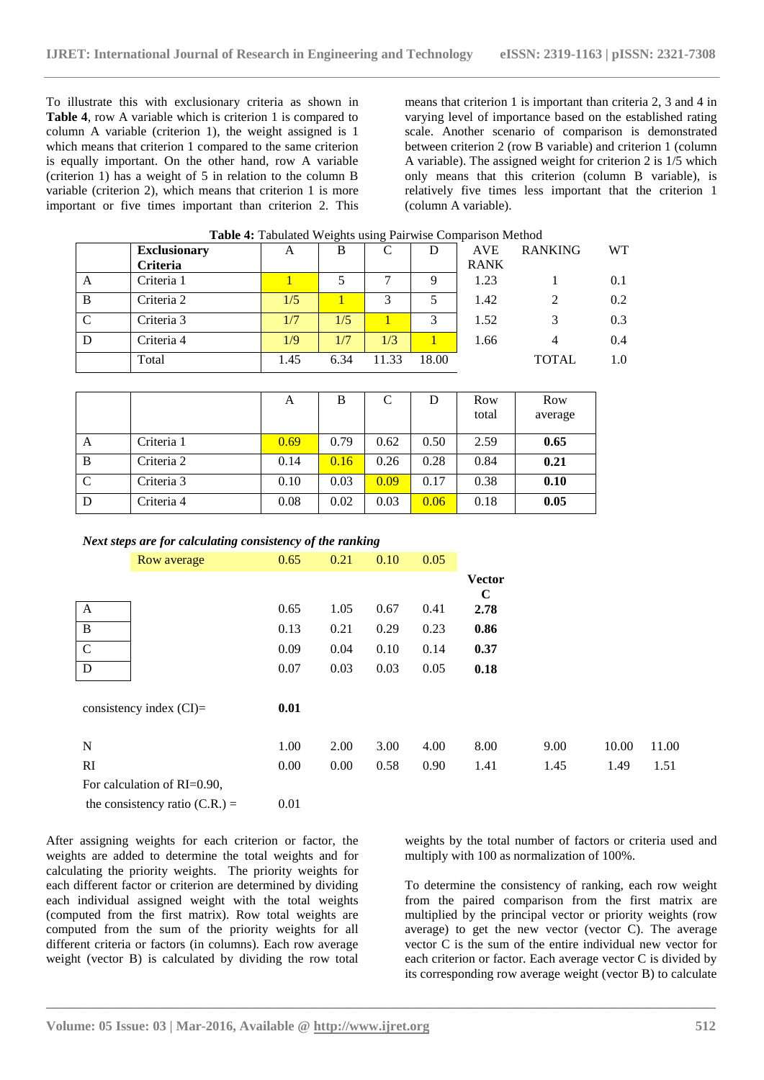To illustrate this with exclusionary criteria as shown in **Table 4**, row A variable which is criterion 1 is compared to column A variable (criterion 1), the weight assigned is 1 which means that criterion 1 compared to the same criterion is equally important. On the other hand, row A variable (criterion 1) has a weight of 5 in relation to the column B variable (criterion 2), which means that criterion 1 is more important or five times important than criterion 2. This

means that criterion 1 is important than criteria 2, 3 and 4 in varying level of importance based on the established rating scale. Another scenario of comparison is demonstrated between criterion 2 (row B variable) and criterion 1 (column A variable). The assigned weight for criterion 2 is 1/5 which only means that this criterion (column B variable), is relatively five times less important that the criterion 1 (column A variable).

| Table 4: Tabulated Weights using Pairwise Comparison Method |      |      |       |       |             |                |           |  |  |  |
|-------------------------------------------------------------|------|------|-------|-------|-------------|----------------|-----------|--|--|--|
| <b>Exclusionary</b>                                         | A    | B    |       | D     | <b>AVE</b>  | <b>RANKING</b> | <b>WT</b> |  |  |  |
| Criteria                                                    |      |      |       |       | <b>RANK</b> |                |           |  |  |  |
| Criteria 1                                                  |      |      |       | 9     | 1.23        |                | 0.1       |  |  |  |
| Criteria 2                                                  | 1/5  |      |       |       | 1.42        |                | 0.2       |  |  |  |
| Criteria 3                                                  | 1/7  | 1/5  |       | 3     | 1.52        |                | 0.3       |  |  |  |
| Criteria 4                                                  | 1/9  | 1/7  | 1/3   |       | 1.66        | 4              | 0.4       |  |  |  |
| Total                                                       | 1.45 | 6.34 | 11.33 | 18.00 |             | <b>TOTAL</b>   | 1.0       |  |  |  |
|                                                             |      |      |       |       |             |                |           |  |  |  |

|             |            | A    | B    |      | D    | Row<br>total | Row<br>average |
|-------------|------------|------|------|------|------|--------------|----------------|
| А           | Criteria 1 | 0.69 | 0.79 | 0.62 | 0.50 | 2.59         | 0.65           |
| B           | Criteria 2 | 0.14 | 0.16 | 0.26 | 0.28 | 0.84         | 0.21           |
| $\mathbf C$ | Criteria 3 | 0.10 | 0.03 | 0.09 | 0.17 | 0.38         | 0.10           |
| D           | Criteria 4 | 0.08 | 0.02 | 0.03 | 0.06 | 0.18         | 0.05           |

#### *Next steps are for calculating consistency of the ranking*

|                             | Row average               |  | 0.65 | 0.21 | 0.10 | 0.05 |                              |      |       |       |
|-----------------------------|---------------------------|--|------|------|------|------|------------------------------|------|-------|-------|
|                             |                           |  |      |      |      |      | <b>Vector</b><br>$\mathbf C$ |      |       |       |
| A                           |                           |  | 0.65 | 1.05 | 0.67 | 0.41 | 2.78                         |      |       |       |
| $\, {\bf B}$                |                           |  | 0.13 | 0.21 | 0.29 | 0.23 | 0.86                         |      |       |       |
| $\mathbf C$                 |                           |  | 0.09 | 0.04 | 0.10 | 0.14 | 0.37                         |      |       |       |
| D                           |                           |  | 0.07 | 0.03 | 0.03 | 0.05 | 0.18                         |      |       |       |
|                             | consistency index $(Cl)=$ |  | 0.01 |      |      |      |                              |      |       |       |
| N                           |                           |  | 1.00 | 2.00 | 3.00 | 4.00 | 8.00                         | 9.00 | 10.00 | 11.00 |
| <sub>RI</sub>               |                           |  | 0.00 | 0.00 | 0.58 | 0.90 | 1.41                         | 1.45 | 1.49  | 1.51  |
| For calculation of RI=0.90, |                           |  |      |      |      |      |                              |      |       |       |
|                             |                           |  |      |      |      |      |                              |      |       |       |

**\_\_\_\_\_\_\_\_\_\_\_\_\_\_\_\_\_\_\_\_\_\_\_\_\_\_\_\_\_\_\_\_\_\_\_\_\_\_\_\_\_\_\_\_\_\_\_\_\_\_\_\_\_\_\_\_\_\_\_\_\_\_\_\_\_\_\_\_\_\_\_\_\_\_\_\_\_\_\_\_\_\_\_\_\_\_\_**

the consistency ratio  $(C.R.) = 0.01$ 

After assigning weights for each criterion or factor, the weights are added to determine the total weights and for calculating the priority weights. The priority weights for each different factor or criterion are determined by dividing each individual assigned weight with the total weights (computed from the first matrix). Row total weights are computed from the sum of the priority weights for all different criteria or factors (in columns). Each row average weight (vector B) is calculated by dividing the row total

weights by the total number of factors or criteria used and multiply with 100 as normalization of 100%.

To determine the consistency of ranking, each row weight from the paired comparison from the first matrix are multiplied by the principal vector or priority weights (row average) to get the new vector (vector C). The average vector C is the sum of the entire individual new vector for each criterion or factor. Each average vector C is divided by its corresponding row average weight (vector B) to calculate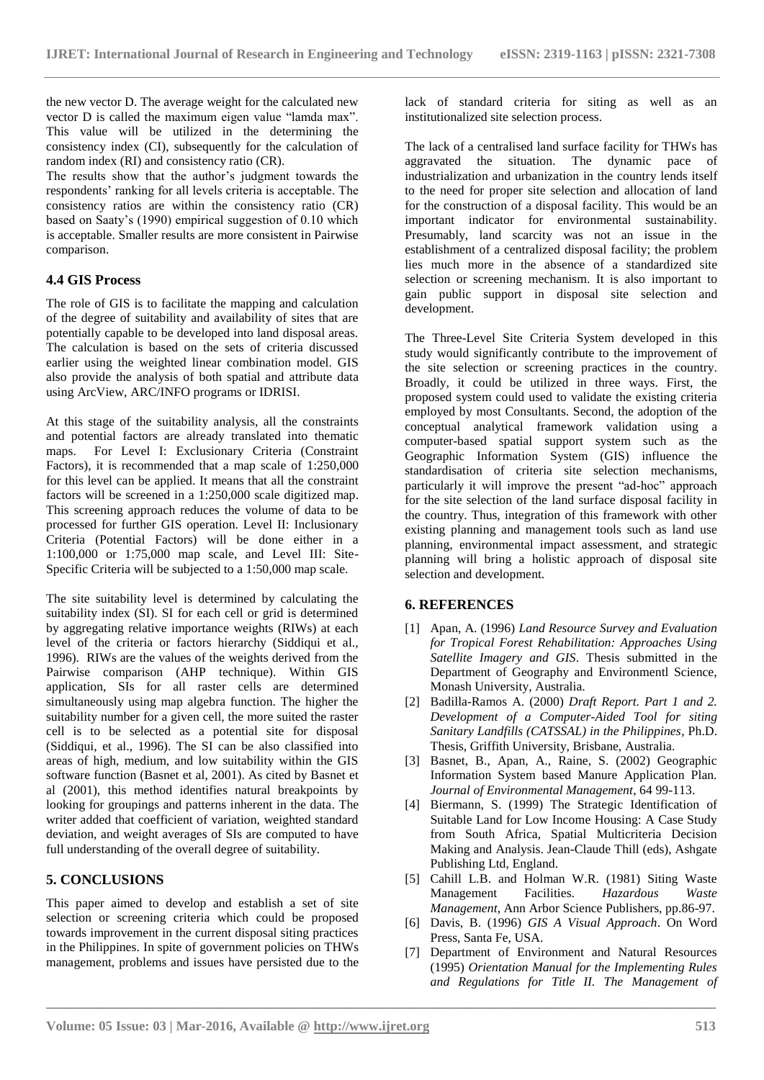the new vector D. The average weight for the calculated new vector D is called the maximum eigen value "lamda max". This value will be utilized in the determining the consistency index (CI), subsequently for the calculation of random index (RI) and consistency ratio (CR).

The results show that the author's judgment towards the respondents' ranking for all levels criteria is acceptable. The consistency ratios are within the consistency ratio (CR) based on Saaty's (1990) empirical suggestion of 0.10 which is acceptable. Smaller results are more consistent in Pairwise comparison.

## **4.4 GIS Process**

The role of GIS is to facilitate the mapping and calculation of the degree of suitability and availability of sites that are potentially capable to be developed into land disposal areas. The calculation is based on the sets of criteria discussed earlier using the weighted linear combination model. GIS also provide the analysis of both spatial and attribute data using ArcView, ARC/INFO programs or IDRISI.

At this stage of the suitability analysis, all the constraints and potential factors are already translated into thematic maps. For Level I: Exclusionary Criteria (Constraint Factors), it is recommended that a map scale of 1:250,000 for this level can be applied. It means that all the constraint factors will be screened in a 1:250,000 scale digitized map. This screening approach reduces the volume of data to be processed for further GIS operation. Level II: Inclusionary Criteria (Potential Factors) will be done either in a 1:100,000 or 1:75,000 map scale, and Level III: Site-Specific Criteria will be subjected to a 1:50,000 map scale.

The site suitability level is determined by calculating the suitability index (SI). SI for each cell or grid is determined by aggregating relative importance weights (RIWs) at each level of the criteria or factors hierarchy (Siddiqui et al., 1996). RIWs are the values of the weights derived from the Pairwise comparison (AHP technique). Within GIS application, SIs for all raster cells are determined simultaneously using map algebra function. The higher the suitability number for a given cell, the more suited the raster cell is to be selected as a potential site for disposal (Siddiqui, et al., 1996). The SI can be also classified into areas of high, medium, and low suitability within the GIS software function (Basnet et al, 2001). As cited by Basnet et al (2001), this method identifies natural breakpoints by looking for groupings and patterns inherent in the data. The writer added that coefficient of variation, weighted standard deviation, and weight averages of SIs are computed to have full understanding of the overall degree of suitability.

#### **5. CONCLUSIONS**

This paper aimed to develop and establish a set of site selection or screening criteria which could be proposed towards improvement in the current disposal siting practices in the Philippines. In spite of government policies on THWs management, problems and issues have persisted due to the lack of standard criteria for siting as well as an institutionalized site selection process.

The lack of a centralised land surface facility for THWs has aggravated the situation. The dynamic pace of industrialization and urbanization in the country lends itself to the need for proper site selection and allocation of land for the construction of a disposal facility. This would be an important indicator for environmental sustainability. Presumably, land scarcity was not an issue in the establishment of a centralized disposal facility; the problem lies much more in the absence of a standardized site selection or screening mechanism. It is also important to gain public support in disposal site selection and development.

The Three-Level Site Criteria System developed in this study would significantly contribute to the improvement of the site selection or screening practices in the country. Broadly, it could be utilized in three ways. First, the proposed system could used to validate the existing criteria employed by most Consultants. Second, the adoption of the conceptual analytical framework validation using a computer-based spatial support system such as the Geographic Information System (GIS) influence the standardisation of criteria site selection mechanisms, particularly it will improve the present "ad-hoc" approach for the site selection of the land surface disposal facility in the country. Thus, integration of this framework with other existing planning and management tools such as land use planning, environmental impact assessment, and strategic planning will bring a holistic approach of disposal site selection and development.

#### **6. REFERENCES**

- [1] Apan, A. (1996) *Land Resource Survey and Evaluation for Tropical Forest Rehabilitation: Approaches Using Satellite Imagery and GIS*. Thesis submitted in the Department of Geography and Environmentl Science, Monash University, Australia.
- [2] Badilla-Ramos A. (2000) *Draft Report. Part 1 and 2. Development of a Computer-Aided Tool for siting Sanitary Landfills (CATSSAL) in the Philippines*, Ph.D. Thesis, Griffith University, Brisbane, Australia.
- [3] Basnet, B., Apan, A., Raine, S. (2002) Geographic Information System based Manure Application Plan. *Journal of Environmental Management*, 64 99-113.
- [4] Biermann, S. (1999) The Strategic Identification of Suitable Land for Low Income Housing: A Case Study from South Africa, Spatial Multicriteria Decision Making and Analysis. Jean-Claude Thill (eds), Ashgate Publishing Ltd, England.
- [5] Cahill L.B. and Holman W.R. (1981) Siting Waste Management Facilities. *Hazardous Waste Management*, Ann Arbor Science Publishers, pp.86-97.
- [6] Davis, B. (1996) *GIS A Visual Approach*. On Word Press, Santa Fe, USA.
- [7] Department of Environment and Natural Resources (1995) *Orientation Manual for the Implementing Rules and Regulations for Title II. The Management of*